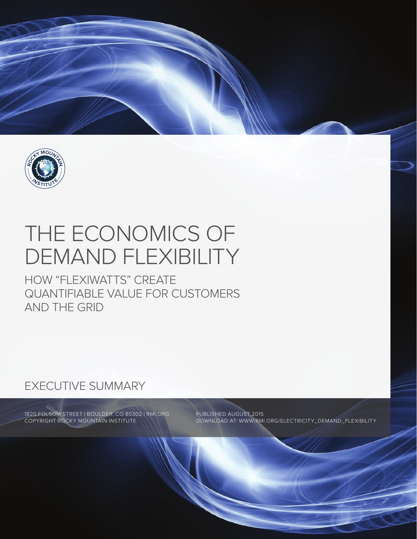

# THE ECONOMICS OF DEMAND FLEXIBILITY

HOW "FLEXIWATTS" CREATE QUANTIFIABLE VALUE FOR CUSTOMERS AND THE GRID

# EXECUTIVE SUMMARY

1820 FOLSOM STREET | BOULDER, CO 80302 | RMI.ORG COPYRIGHT ROCKY MOUNTAIN INSTITUTE.

PUBLISHED AUGUST 2015 DOWNLOAD AT: WWW.RMI.ORG/ELECTRICITY\_DEMAND\_FLEXIBILITY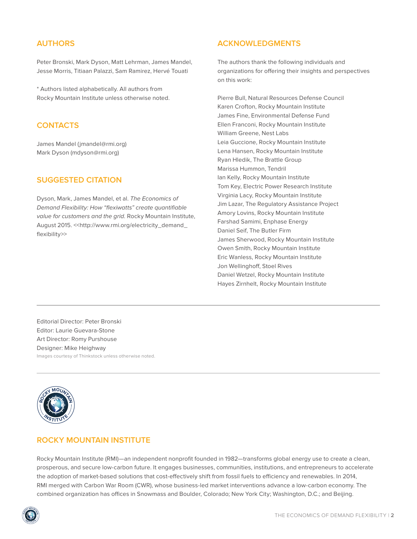# **AUTHORS**

Peter Bronski, Mark Dyson, Matt Lehrman, James Mandel, Jesse Morris, Titiaan Palazzi, Sam Ramirez, Hervé Touati

\* Authors listed alphabetically. All authors from Rocky Mountain Institute unless otherwise noted.

# **CONTACTS**

James Mandel (jmandel@rmi.org) Mark Dyson (mdyson@rmi.org)

# **SUGGESTED CITATION**

Dyson, Mark, James Mandel, et al. The Economics of Demand Flexibility: How "flexiwatts" create quantifiable value for customers and the grid. Rocky Mountain Institute, August 2015. << http://www.rmi.org/electricity\_demand\_ flexibility>>

#### **ACKNOWLEDGMENTS**

The authors thank the following individuals and organizations for offering their insights and perspectives on this work:

Pierre Bull, Natural Resources Defense Council Karen Crofton, Rocky Mountain Institute James Fine, Environmental Defense Fund Ellen Franconi, Rocky Mountain Institute William Greene, Nest Labs Leia Guccione, Rocky Mountain Institute Lena Hansen, Rocky Mountain Institute Ryan Hledik, The Brattle Group Marissa Hummon, Tendril Ian Kelly, Rocky Mountain Institute Tom Key, Electric Power Research Institute Virginia Lacy, Rocky Mountain Institute Jim Lazar, The Regulatory Assistance Project Amory Lovins, Rocky Mountain Institute Farshad Samimi, Enphase Energy Daniel Seif, The Butler Firm James Sherwood, Rocky Mountain Institute Owen Smith, Rocky Mountain Institute Eric Wanless, Rocky Mountain Institute Jon Wellinghoff, Stoel Rives Daniel Wetzel, Rocky Mountain Institute Hayes Zirnhelt, Rocky Mountain Institute

Editorial Director: Peter Bronski Editor: Laurie Guevara-Stone Art Director: Romy Purshouse Designer: Mike Heighway Images courtesy of Thinkstock unless otherwise noted.



# **ROCKY MOUNTAIN INSTITUTE**

Rocky Mountain Institute (RMI)—an independent nonprofit founded in 1982—transforms global energy use to create a clean, prosperous, and secure low-carbon future. It engages businesses, communities, institutions, and entrepreneurs to accelerate the adoption of market-based solutions that cost-effectively shift from fossil fuels to efficiency and renewables. In 2014, RMI merged with Carbon War Room (CWR), whose business-led market interventions advance a low-carbon economy. The combined organization has offices in Snowmass and Boulder, Colorado; New York City; Washington, D.C.; and Beijing.

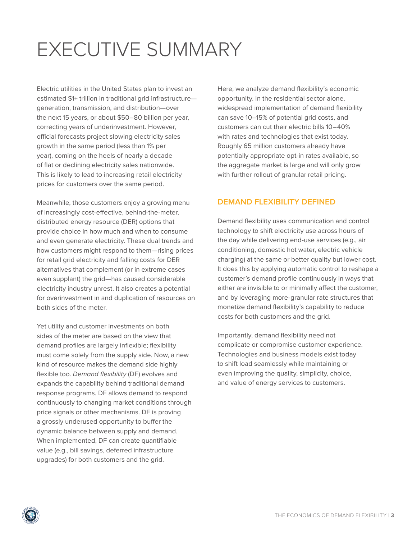# EXECUTIVE SUMMARY

Electric utilities in the United States plan to invest an estimated \$1+ trillion in traditional grid infrastructure generation, transmission, and distribution—over the next 15 years, or about \$50–80 billion per year, correcting years of underinvestment. However, official forecasts project slowing electricity sales growth in the same period (less than 1% per year), coming on the heels of nearly a decade of flat or declining electricity sales nationwide. This is likely to lead to increasing retail electricity prices for customers over the same period.

Meanwhile, those customers enjoy a growing menu of increasingly cost-effective, behind-the-meter, distributed energy resource (DER) options that provide choice in how much and when to consume and even generate electricity. These dual trends and how customers might respond to them—rising prices for retail grid electricity and falling costs for DER alternatives that complement (or in extreme cases even supplant) the grid—has caused considerable electricity industry unrest. It also creates a potential for overinvestment in and duplication of resources on both sides of the meter.

Yet utility and customer investments on both sides of the meter are based on the view that demand profiles are largely inflexible; flexibility must come solely from the supply side. Now, a new kind of resource makes the demand side highly flexible too. Demand flexibility (DF) evolves and expands the capability behind traditional demand response programs. DF allows demand to respond continuously to changing market conditions through price signals or other mechanisms. DF is proving a grossly underused opportunity to buffer the dynamic balance between supply and demand. When implemented, DF can create quantifiable value (e.g., bill savings, deferred infrastructure upgrades) for both customers and the grid.

Here, we analyze demand flexibility's economic opportunity. In the residential sector alone, widespread implementation of demand flexibility can save 10–15% of potential grid costs, and customers can cut their electric bills 10–40% with rates and technologies that exist today. Roughly 65 million customers already have potentially appropriate opt-in rates available, so the aggregate market is large and will only grow with further rollout of granular retail pricing.

# **DEMAND FLEXIBILITY DEFINED**

Demand flexibility uses communication and control technology to shift electricity use across hours of the day while delivering end-use services (e.g., air conditioning, domestic hot water, electric vehicle charging) at the same or better quality but lower cost. It does this by applying automatic control to reshape a customer's demand profile continuously in ways that either are invisible to or minimally affect the customer, and by leveraging more-granular rate structures that monetize demand flexibility's capability to reduce costs for both customers and the grid.

Importantly, demand flexibility need not complicate or compromise customer experience. Technologies and business models exist today to shift load seamlessly while maintaining or even improving the quality, simplicity, choice, and value of energy services to customers.

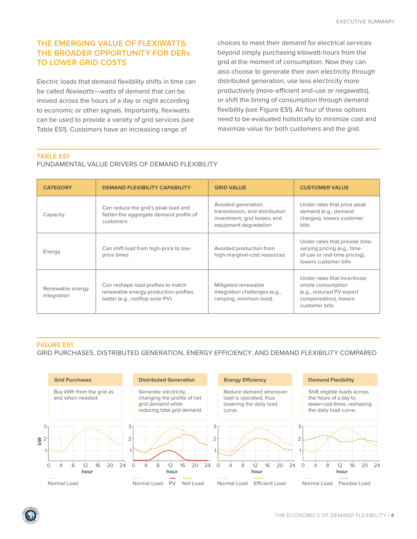# **THE EMERGING VALUE OF FLEXIWATTS: THE BROADER OPPORTUNITY FOR DERs TO LOWER GRID COSTS**

Electric loads that demand flexibility shifts in time can be called flexiwatts—watts of demand that can be moved across the hours of a day or night according to economic or other signals. Importantly, flexiwatts can be used to provide a variety of grid services (see Table ES1). Customers have an increasing range of

choices to meet their demand for electrical services beyond simply purchasing kilowatt-hours from the grid at the moment of consumption. Now they can also choose to generate their own electricity through distributed generation, use less electricity more productively (more-efficient end-use or negawatts), or shift the timing of consumption through demand flexibility (see Figure ES1). All four of these options need to be evaluated holistically to minimize cost and maximize value for both customers and the grid.

#### **TABLE ES1**

#### FUNDAMENTAL VALUE DRIVERS OF DEMAND FLEXIBILITY

| <b>CATEGORY</b>                 | <b>DEMAND FLEXIBILITY CAPABILITY</b>                                                                          | <b>GRID VALUE</b>                                                                                              | <b>CUSTOMER VALUE</b>                                                                                                     |
|---------------------------------|---------------------------------------------------------------------------------------------------------------|----------------------------------------------------------------------------------------------------------------|---------------------------------------------------------------------------------------------------------------------------|
| Capacity                        | Can reduce the grid's peak load and<br>flatten the aggregate demand profile of<br>customers                   | Avoided generation,<br>transmission, and distribution<br>investment; grid losses; and<br>equipment degradation | Under rates that price peak<br>demand (e.g., demand<br>charges), lowers customer<br>bills                                 |
| Energy                          | Can shift load from high-price to low-<br>price times                                                         | Avoided production from<br>high-marginal-cost resources                                                        | Under rates that provide time-<br>varying pricing (e.g., time-<br>of-use or real-time pricing),<br>lowers customer bills  |
| Renewable energy<br>integration | Can reshape load profiles to match<br>renewable energy production profiles<br>better (e.g., rooftop solar PV) | Mitigated renewable<br>integration challenges (e.g.,<br>ramping, minimum load)                                 | Under rates that incentivize<br>onsite consumption<br>(e.g., reduced PV export<br>compensation), lowers<br>customer bills |

#### **FIGURE ES1**

GRID PURCHASES, DISTRIBUTED GENERATION, ENERGY EFFICIENCY, AND DEMAND FLEXIBILITY COMPARED



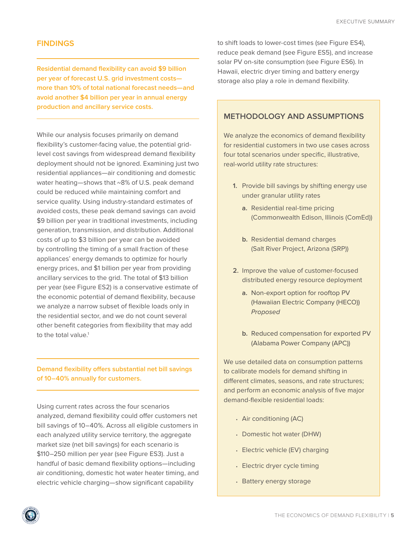#### **FINDINGS**

**Residential demand flexibility can avoid \$9 billion per year of forecast U.S. grid investment costs more than 10% of total national forecast needs—and avoid another \$4 billion per year in annual energy production and ancillary service costs.**

While our analysis focuses primarily on demand flexibility's customer-facing value, the potential gridlevel cost savings from widespread demand flexibility deployment should not be ignored. Examining just two residential appliances—air conditioning and domestic water heating—shows that  $~8\%$  of U.S. peak demand could be reduced while maintaining comfort and service quality. Using industry-standard estimates of avoided costs, these peak demand savings can avoid \$9 billion per year in traditional investments, including generation, transmission, and distribution. Additional costs of up to \$3 billion per year can be avoided by controlling the timing of a small fraction of these appliances' energy demands to optimize for hourly energy prices, and \$1 billion per year from providing ancillary services to the grid. The total of \$13 billion per year (see Figure ES2) is a conservative estimate of the economic potential of demand flexibility, because we analyze a narrow subset of flexible loads only in the residential sector, and we do not count several other benefit categories from flexibility that may add to the total value.<sup>1</sup>

# **Demand flexibility offers substantial net bill savings of 10–40% annually for customers.**

Using current rates across the four scenarios analyzed, demand flexibility could offer customers net bill savings of 10–40%. Across all eligible customers in each analyzed utility service territory, the aggregate market size (net bill savings) for each scenario is \$110–250 million per year (see Figure ES3). Just a handful of basic demand flexibility options—including air conditioning, domestic hot water heater timing, and electric vehicle charging—show significant capability

to shift loads to lower-cost times (see Figure ES4), reduce peak demand (see Figure ES5), and increase solar PV on-site consumption (see Figure ES6). In Hawaii, electric dryer timing and battery energy storage also play a role in demand flexibility.

# **METHODOLOGY AND ASSUMPTIONS**

We analyze the economics of demand flexibility for residential customers in two use cases across four total scenarios under specific, illustrative, real-world utility rate structures:

- **1.** Provide bill savings by shifting energy use under granular utility rates
	- **a.** Residential real-time pricing (Commonwealth Edison, Illinois (ComEd))
	- **b.** Residential demand charges (Salt River Project, Arizona (SRP))
- **2.** Improve the value of customer-focused distributed energy resource deployment
	- **a.** Non-export option for rooftop PV (Hawaiian Electric Company (HECO)) Proposed
	- **b.** Reduced compensation for exported PV (Alabama Power Company (APC))

We use detailed data on consumption patterns to calibrate models for demand shifting in different climates, seasons, and rate structures; and perform an economic analysis of five major demand-flexible residential loads:

- **•** Air conditioning (AC)
- **•** Domestic hot water (DHW)
- **•** Electric vehicle (EV) charging
- **•** Electric dryer cycle timing
- **•** Battery energy storage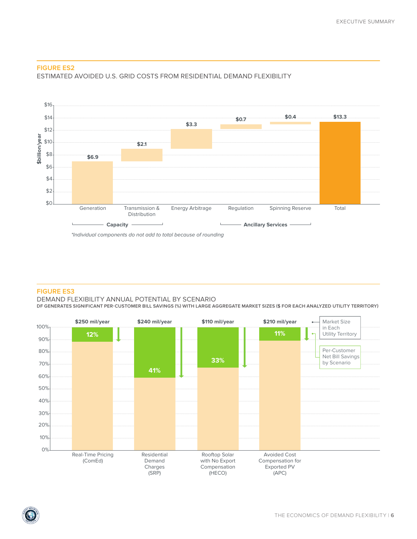

#### **FIGURE ES2**



### **FIGURE ES3**

#### DEMAND FLEXIBILITY ANNUAL POTENTIAL BY SCENARIO

**DF GENERATES SIGNIFICANT PER-CUSTOMER BILL SAVINGS (%) WITH LARGE AGGREGATE MARKET SIZES (\$ FOR EACH ANALYZED UTILITY TERRITORY)**



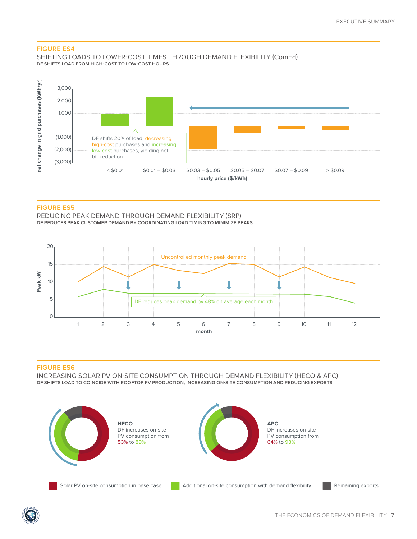#### **FIGURE ES4**

SHIFTING LOADS TO LOWER-COST TIMES THROUGH DEMAND FLEXIBILITY (ComEd) **DF SHIFTS LOAD FROM HIGH-COST TO LOW-COST HOURS**



#### **FIGURE ES5**

REDUCING PEAK DEMAND THROUGH DEMAND FLEXIBILITY (SRP) **DF REDUCES PEAK CUSTOMER DEMAND BY COORDINATING LOAD TIMING TO MINIMIZE PEAKS**



#### **FIGURE ES6**

INCREASING SOLAR PV ON-SITE CONSUMPTION THROUGH DEMAND FLEXIBILITY (HECO & APC) **DF SHIFTS LOAD TO COINCIDE WITH ROOFTOP PV PRODUCTION, INCREASING ON-SITE CONSUMPTION AND REDUCING EXPORTS**

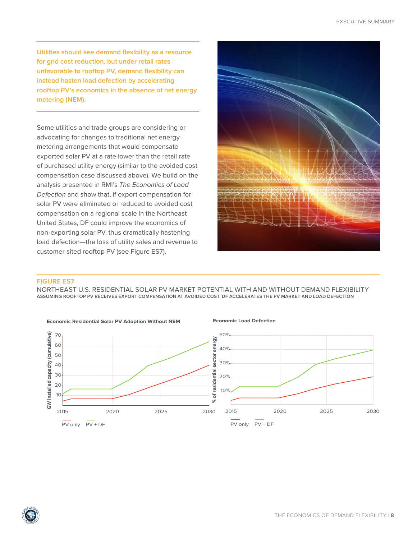**Utilities should see demand flexibility as a resource for grid cost reduction, but under retail rates unfavorable to rooftop PV, demand flexibility can instead hasten load defection by accelerating rooftop PV's economics in the absence of net energy metering (NEM).**

Some utilities and trade groups are considering or advocating for changes to traditional net energy metering arrangements that would compensate exported solar PV at a rate lower than the retail rate of purchased utility energy (similar to the avoided cost compensation case discussed above). We build on the analysis presented in RMI's The Economics of Load Defection and show that, if export compensation for solar PV were eliminated or reduced to avoided cost compensation on a regional scale in the Northeast United States, DF could improve the economics of non-exporting solar PV, thus dramatically hastening load defection—the loss of utility sales and revenue to customer-sited rooftop PV (see Figure ES7).



#### **FIGURE ES7**

**<sup>R</sup>OCK<sup>Y</sup> <sup>M</sup>OUNTA<sup>I</sup><sup>N</sup> INSTITUTE** 

NORTHEAST U.S. RESIDENTIAL SOLAR PV MARKET POTENTIAL WITH AND WITHOUT DEMAND FLEXIBILITY **ASSUMING ROOFTOP PV RECEIVES EXPORT COMPENSATION AT AVOIDED COST, DF ACCELERATES THE PV MARKET AND LOAD DEFECTION**